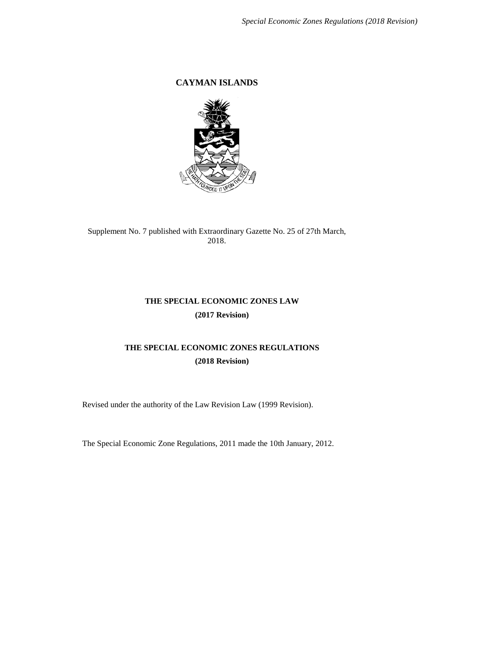**CAYMAN ISLANDS**



Supplement No. 7 published with Extraordinary Gazette No. 25 of 27th March, 2018.

# **THE SPECIAL ECONOMIC ZONES LAW (2017 Revision)**

# **THE SPECIAL ECONOMIC ZONES REGULATIONS (2018 Revision)**

Revised under the authority of the Law Revision Law (1999 Revision).

The Special Economic Zone Regulations, 2011 made the 10th January, 2012.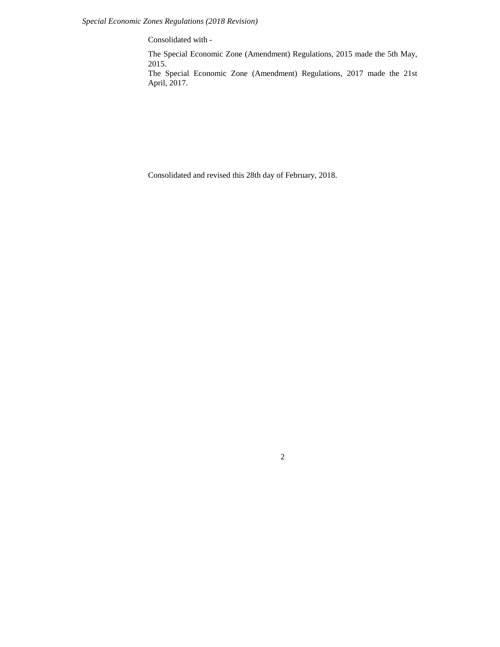Consolidated with -

The Special Economic Zone (Amendment) Regulations, 2015 made the 5th May, 2015.

The Special Economic Zone (Amendment) Regulations, 2017 made the 21st April, 2017.

Consolidated and revised this 28th day of February, 2018.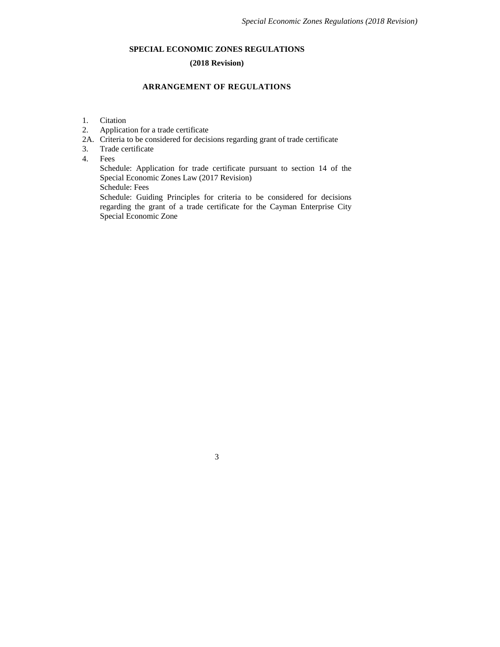# **SPECIAL ECONOMIC ZONES REGULATIONS**

## **(2018 Revision)**

## **ARRANGEMENT OF REGULATIONS**

- 1. Citation
- 2. Application for a trade certificate
- 2A. Criteria to be considered for decisions regarding grant of trade certificate
- 3. Trade certificate
- 4. Fees

Schedule: Application for trade certificate pursuant to section 14 of the Special Economic Zones Law (2017 Revision)

Schedule: Fees

Schedule: Guiding Principles for criteria to be considered for decisions regarding the grant of a trade certificate for the Cayman Enterprise City Special Economic Zone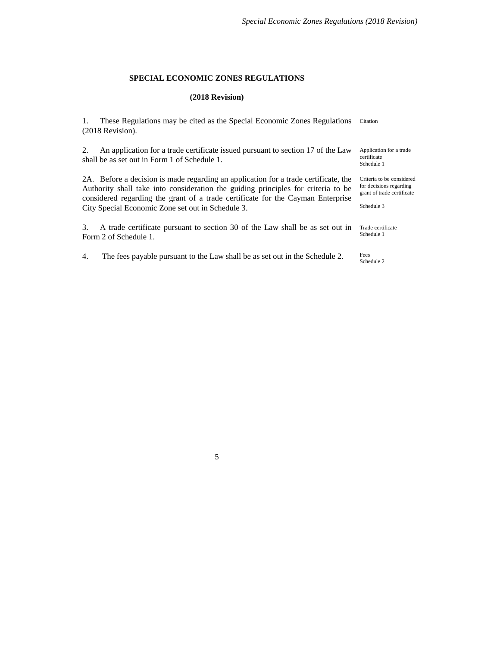#### **SPECIAL ECONOMIC ZONES REGULATIONS**

#### **(2018 Revision)**

1. These Regulations may be cited as the Special Economic Zones Regulations Citation (2018 Revision).

2. An application for a trade certificate issued pursuant to section 17 of the Law shall be as set out in Form 1 of Schedule 1.

2A. Before a decision is made regarding an application for a trade certificate, the Authority shall take into consideration the guiding principles for criteria to be considered regarding the grant of a trade certificate for the Cayman Enterprise City Special Economic Zone set out in Schedule 3.

3. A trade certificate pursuant to section 30 of the Law shall be as set out in Form 2 of Schedule 1.

4. The fees payable pursuant to the Law shall be as set out in the Schedule 2.

Application for a trade certificate Schedule 1

Criteria to be considered for decisions regarding grant of trade certificate

Schedule 3

Trade certificate Schedule 1

Fees Schedule 2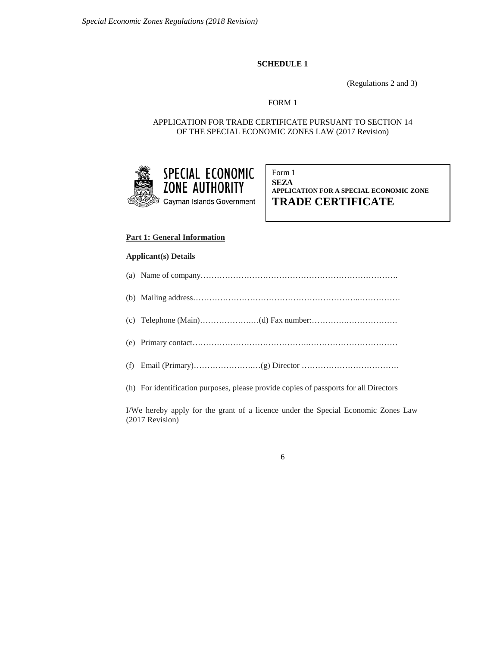### **SCHEDULE 1**

(Regulations 2 and 3)

# FORM 1

APPLICATION FOR TRADE CERTIFICATE PURSUANT TO SECTION 14 OF THE SPECIAL ECONOMIC ZONES LAW (2017 Revision)



Form 1 **SEZA APPLICATION FOR A SPECIAL ECONOMIC ZONE TRADE CERTIFICATE**

### **Part 1: General Information**

#### **Applicant(s) Details**

| (h) For identification purposes, please provide copies of passports for all Directors |
|---------------------------------------------------------------------------------------|

I/We hereby apply for the grant of a licence under the Special Economic Zones Law (2017 Revision)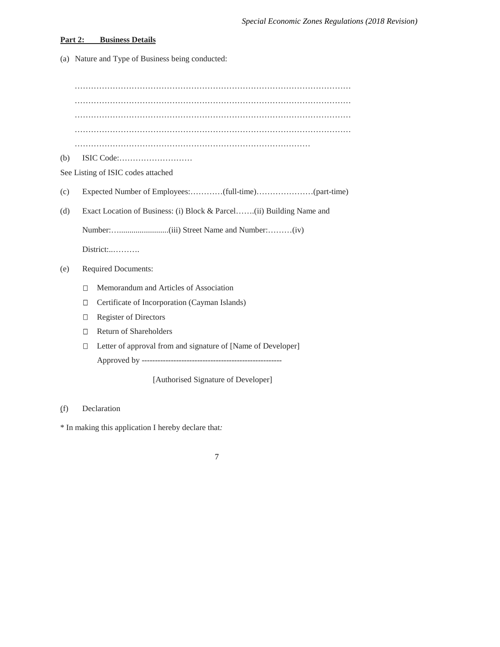#### **Part 2: Business Details**

(a) Nature and Type of Business being conducted:

………………………………………………………………………………………… ………………………………………………………………………………………… ………………………………………………………………………………………… ………………………………………………………………………………………… …………………………………………………………………………… (b) ISIC Code:……………………… See Listing of ISIC codes attached (c) Expected Number of Employees:…………(full-time)…………………(part-time) (d) Exact Location of Business: (i) Block & Parcel…….(ii) Building Name and Number:…........................(iii) Street Name and Number:………(iv) District:..………. (e) Required Documents: Memorandum and Articles of Association Certificate of Incorporation (Cayman Islands) Register of Directors Return of Shareholders Letter of approval from and signature of [Name of Developer] Approved by ----------------------------------------------------- [Authorised Signature of Developer]

## (f) Declaration

\* In making this application I hereby declare that*:*

| a.<br>I |
|---------|
|         |
|         |
| ۰.      |
|         |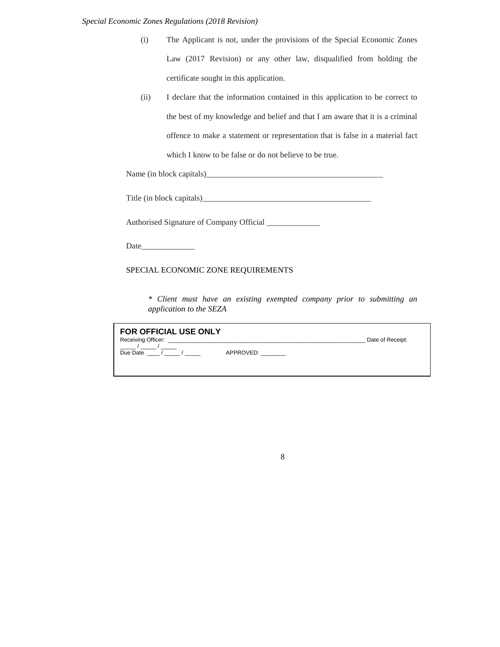| (i) | The Applicant is not, under the provisions of the Special Economic Zones |
|-----|--------------------------------------------------------------------------|
|     | Law (2017 Revision) or any other law, disqualified from holding the      |
|     | certificate sought in this application.                                  |

(ii) I declare that the information contained in this application to be correct to the best of my knowledge and belief and that I am aware that it is a criminal offence to make a statement or representation that is false in a material fact which I know to be false or do not believe to be true.

Name (in block capitals)\_\_\_\_\_\_\_\_\_\_\_\_\_\_\_\_\_\_\_\_\_\_\_\_\_\_\_\_\_\_\_\_\_\_\_\_\_\_\_\_\_\_\_

| Title (in block capitals) |
|---------------------------|
|---------------------------|

Authorised Signature of Company Official \_\_\_\_\_\_\_\_\_\_\_\_\_\_

Date\_\_\_\_\_\_\_\_\_\_\_\_\_

## SPECIAL ECONOMIC ZONE REQUIREMENTS

*\* Client must have an existing exempted company prior to submitting an application to the SEZA*

| <b>FOR OFFICIAL USE ONLY</b> |           | Date of Receipt: |
|------------------------------|-----------|------------------|
| Due Date                     | APPROVED: |                  |
|                              |           |                  |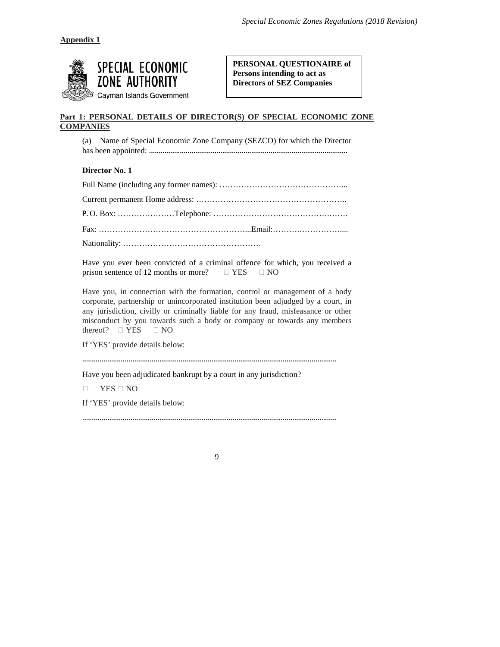

**PERSONAL QUESTIONAIRE of Persons intending to act as Directors of SEZ Companies**

# **Part 1: PERSONAL DETAILS OF DIRECTOR(S) OF SPECIAL ECONOMIC ZONE COMPANIES**

(a) Name of Special Economic Zone Company (SEZCO) for which the Director has been appointed: ………………………………………………………………………………………….

**Director No. 1**

Have you ever been convicted of a criminal offence for which, you received a prison sentence of 12 months or more?  $\Box$  YES  $\Box$  NO

Have you, in connection with the formation, control or management of a body corporate, partnership or unincorporated institution been adjudged by a court, in any jurisdiction, civilly or criminally liable for any fraud, misfeasance or other misconduct by you towards such a body or company or towards any members thereof?  $\Box$  YES  $\Box$  NO

If 'YES' provide details below:

……………………………………………………………………………………………………………………

Have you been adjudicated bankrupt by a court in any jurisdiction?

 $\Box$  YES  $\Box$  NO

If 'YES' provide details below:

9

……………………………………………………………………………………………………………………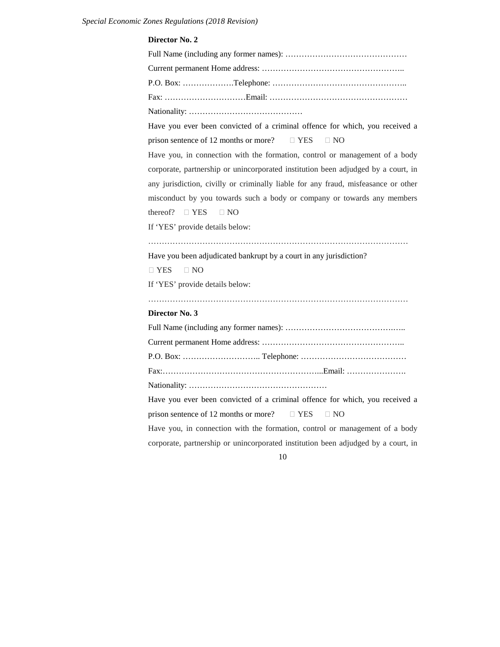#### **Director No. 2**

Full Name (including any former names): ……………………………………… Current permanent Home address: …………………………………………….. P.O. Box: ……………….Telephone: ………………………………………….. Fax: …………………………Email: …………………………………………… Nationality: …………………………………… Have you ever been convicted of a criminal offence for which, you received a prison sentence of 12 months or more?  $\Box$  YES  $\Box$  NO Have you, in connection with the formation, control or management of a body corporate, partnership or unincorporated institution been adjudged by a court, in any jurisdiction, civilly or criminally liable for any fraud, misfeasance or other misconduct by you towards such a body or company or towards any members thereof?  $\Box$  YES  $\Box$  NO If 'YES' provide details below: …………………………………………………………………………………… Have you been adjudicated bankrupt by a court in any jurisdiction?  $\Box$  YES  $\Box$  NO If 'YES' provide details below: …………………………………………………………………………………… **Director No. 3** Full Name (including any former names): ………………………………….….. Current permanent Home address: …………………………………………….. P.O. Box: ……………………….. Telephone: ………………………………… Fax:…………………………………………………...Email: …………………. Nationality: …………………………………………… Have you ever been convicted of a criminal offence for which, you received a prison sentence of 12 months or more?  $\Box$  YES  $\Box$  NO Have you, in connection with the formation, control or management of a body corporate, partnership or unincorporated institution been adjudged by a court, in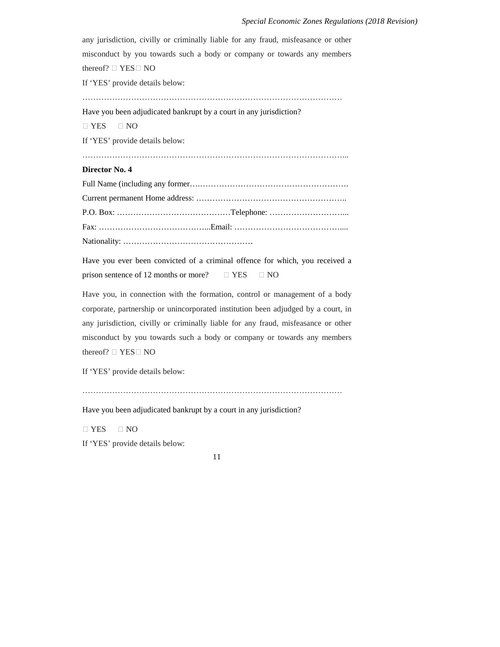any jurisdiction, civilly or criminally liable for any fraud, misfeasance or other misconduct by you towards such a body or company or towards any members thereof?  $\Box$  YES  $\Box$  NO If 'YES' provide details below: …………………………………………………………………………………… Have you been adjudicated bankrupt by a court in any jurisdiction? YES NO If 'YES' provide details below: ……………………………………………………………………………………... **Director No. 4** Full Name (including any former….………………………………………………. Current permanent Home address: ……………………………………………….. P.O. Box: ……………………………………Telephone: ………………………... Fax: …………………………………...Email: …………………………………....

Nationality: …………………………………………

Have you ever been convicted of a criminal offence for which, you received a prison sentence of 12 months or more?  $\Box$  YES  $\Box$  NO

Have you, in connection with the formation, control or management of a body corporate, partnership or unincorporated institution been adjudged by a court, in any jurisdiction, civilly or criminally liable for any fraud, misfeasance or other misconduct by you towards such a body or company or towards any members thereof?  $\Box$  YES  $\Box$  NO

If 'YES' provide details below:

……………………………………………………………………………………

Have you been adjudicated bankrupt by a court in any jurisdiction?

 $\Box$  YES  $\Box$  NO

If 'YES' provide details below: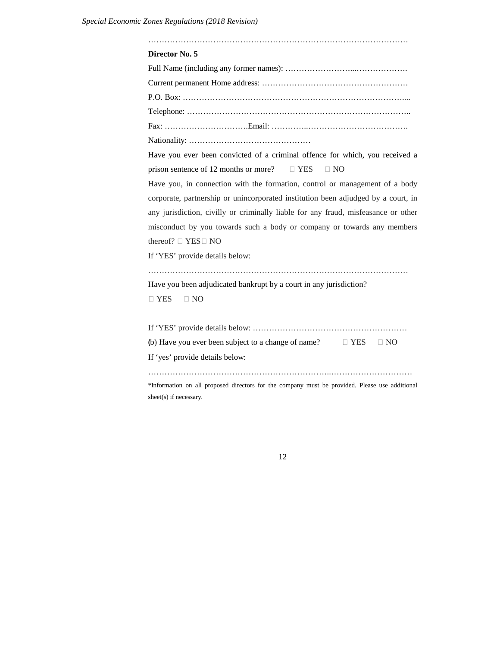| Director No. 5                                                                                 |  |  |
|------------------------------------------------------------------------------------------------|--|--|
|                                                                                                |  |  |
|                                                                                                |  |  |
|                                                                                                |  |  |
|                                                                                                |  |  |
|                                                                                                |  |  |
|                                                                                                |  |  |
| Have you ever been convicted of a criminal offence for which, you received a                   |  |  |
| prison sentence of 12 months or more? $\square$ YES $\square$ NO                               |  |  |
| Have you, in connection with the formation, control or management of a body                    |  |  |
| corporate, partnership or unincorporated institution been adjudged by a court, in              |  |  |
| any jurisdiction, civilly or criminally liable for any fraud, misfeasance or other             |  |  |
| misconduct by you towards such a body or company or towards any members                        |  |  |
| thereof? $\square$ YES $\square$ NO                                                            |  |  |
| If 'YES' provide details below:                                                                |  |  |
|                                                                                                |  |  |
| Have you been adjudicated bankrupt by a court in any jurisdiction?                             |  |  |
| $\Box$ YES<br>$\Box$ NO                                                                        |  |  |
|                                                                                                |  |  |
|                                                                                                |  |  |
| (b) Have you ever been subject to a change of name? $\square$ YES $\square$ NO                 |  |  |
| If 'yes' provide details below:                                                                |  |  |
|                                                                                                |  |  |
| *Information on all proposed directors for the company must be provided. Please use additional |  |  |
| sheet(s) if necessary.                                                                         |  |  |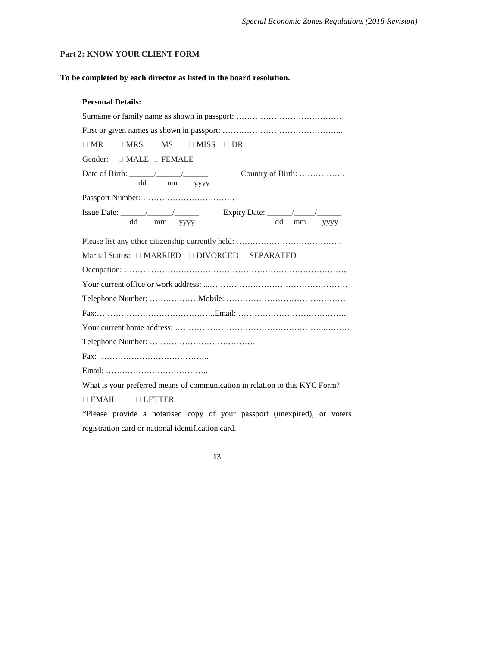## **Part 2: KNOW YOUR CLIENT FORM**

## **To be completed by each director as listed in the board resolution.**

| <b>Personal Details:</b> |
|--------------------------|
|                          |

| $\Box$ MRS $\Box$ MS $\Box$ MISS $\Box$ DR<br>$\Box$ MR                                                                        |
|--------------------------------------------------------------------------------------------------------------------------------|
| Gender: □ MALE □ FEMALE                                                                                                        |
| Date of Birth: $\frac{1}{\sqrt{1-\frac{1}{2}}}\left  \frac{1}{\sqrt{1-\frac{1}{2}}}\right $<br>Country of Birth:<br>dd mm yyyy |
|                                                                                                                                |
| dd mm yyyy<br>dd<br>mm yyyy                                                                                                    |
|                                                                                                                                |
|                                                                                                                                |
|                                                                                                                                |
|                                                                                                                                |
|                                                                                                                                |
|                                                                                                                                |
|                                                                                                                                |
|                                                                                                                                |
|                                                                                                                                |
|                                                                                                                                |
| What is your preferred means of communication in relation to this KYC Form?                                                    |
| $\Box$ EMAIL $\Box$ LETTER                                                                                                     |
| *Please provide a notarised copy of your passport (unexpired), or voters                                                       |

registration card or national identification card.

| ۰,<br>×<br>٠ |
|--------------|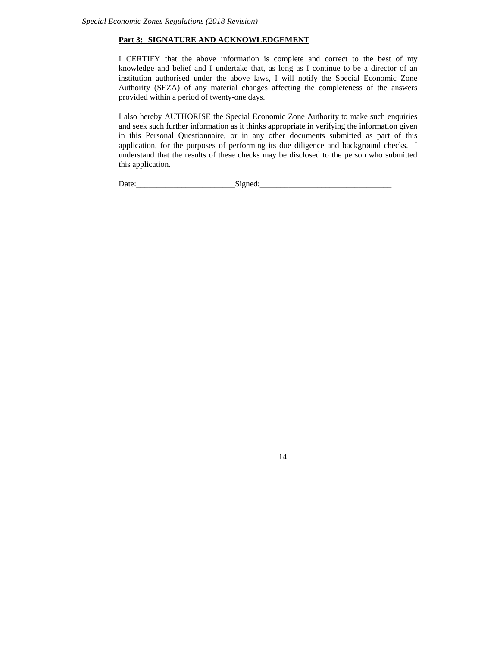#### **Part 3: SIGNATURE AND ACKNOWLEDGEMENT**

I CERTIFY that the above information is complete and correct to the best of my knowledge and belief and I undertake that, as long as I continue to be a director of an institution authorised under the above laws, I will notify the Special Economic Zone Authority (SEZA) of any material changes affecting the completeness of the answers provided within a period of twenty-one days.

I also hereby AUTHORISE the Special Economic Zone Authority to make such enquiries and seek such further information as it thinks appropriate in verifying the information given in this Personal Questionnaire, or in any other documents submitted as part of this application, for the purposes of performing its due diligence and background checks. I understand that the results of these checks may be disclosed to the person who submitted this application.

| $\overline{\phantom{a}}$<br>. . | --<br>- |  |
|---------------------------------|---------|--|
|                                 | . .     |  |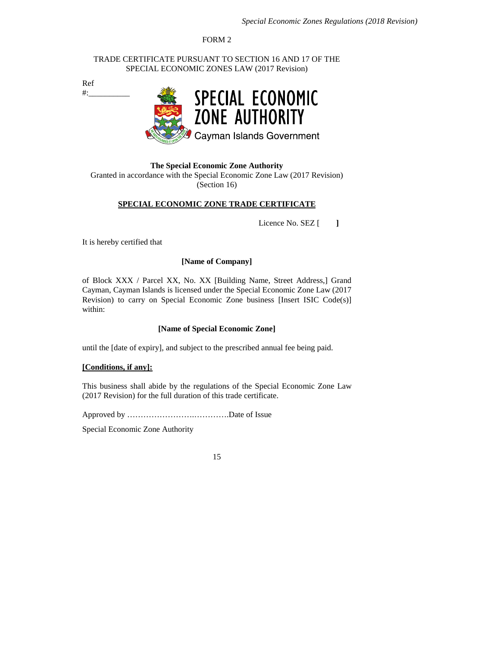FORM 2

TRADE CERTIFICATE PURSUANT TO SECTION 16 AND 17 OF THE SPECIAL ECONOMIC ZONES LAW (2017 Revision)

Ref  $\#$ :



**The Special Economic Zone Authority** Granted in accordance with the Special Economic Zone Law (2017 Revision) (Section 16)

## **SPECIAL ECONOMIC ZONE TRADE CERTIFICATE**

Licence No. SEZ [ **]**

It is hereby certified that

#### **[Name of Company]**

of Block XXX / Parcel XX, No. XX [Building Name, Street Address,] Grand Cayman, Cayman Islands is licensed under the Special Economic Zone Law (2017 Revision) to carry on Special Economic Zone business [Insert ISIC Code(s)] within:

#### **[Name of Special Economic Zone]**

until the [date of expiry], and subject to the prescribed annual fee being paid.

#### **[Conditions, if any]:**

This business shall abide by the regulations of the Special Economic Zone Law (2017 Revision) for the full duration of this trade certificate.

Approved by …………………….………….Date of Issue

Special Economic Zone Authority

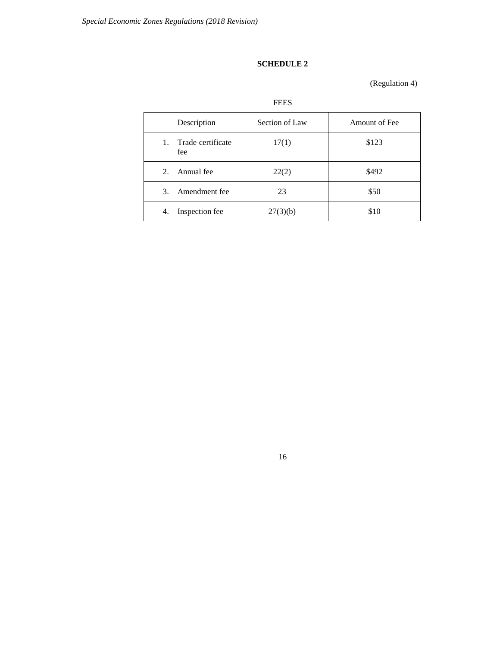# **SCHEDULE 2**

(Regulation 4)

| Description                    | Section of Law | Amount of Fee |
|--------------------------------|----------------|---------------|
| Trade certificate<br>1.<br>fee | 17(1)          | \$123         |
| 2. Annual fee                  | 22(2)          | \$492         |
| Amendment fee<br>3.            | 23             | \$50          |
| Inspection fee<br>4.           | 27(3)(b)       | \$10          |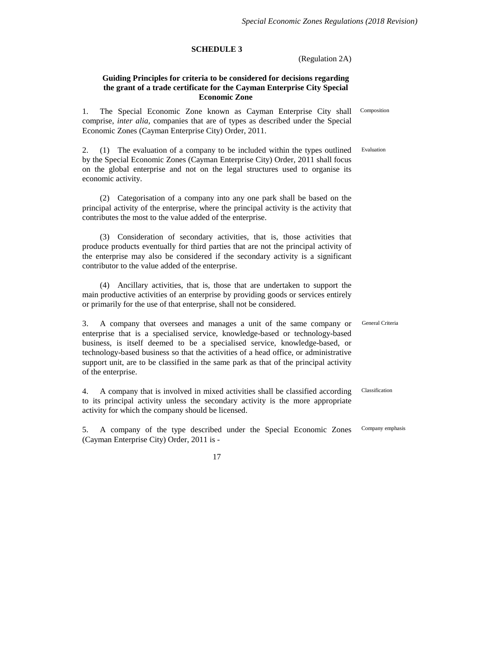#### **SCHEDULE 3**

(Regulation 2A)

Composition

Evaluation

#### **Guiding Principles for criteria to be considered for decisions regarding the grant of a trade certificate for the Cayman Enterprise City Special Economic Zone**

1. The Special Economic Zone known as Cayman Enterprise City shall comprise, *inter alia*, companies that are of types as described under the Special Economic Zones (Cayman Enterprise City) Order, 2011.

2. (1) The evaluation of a company to be included within the types outlined by the Special Economic Zones (Cayman Enterprise City) Order, 2011 shall focus on the global enterprise and not on the legal structures used to organise its economic activity.

(2) Categorisation of a company into any one park shall be based on the principal activity of the enterprise, where the principal activity is the activity that contributes the most to the value added of the enterprise.

(3) Consideration of secondary activities, that is, those activities that produce products eventually for third parties that are not the principal activity of the enterprise may also be considered if the secondary activity is a significant contributor to the value added of the enterprise.

(4) Ancillary activities, that is, those that are undertaken to support the main productive activities of an enterprise by providing goods or services entirely or primarily for the use of that enterprise, shall not be considered.

3. A company that oversees and manages a unit of the same company or enterprise that is a specialised service, knowledge-based or technology-based business, is itself deemed to be a specialised service, knowledge-based, or technology-based business so that the activities of a head office, or administrative support unit, are to be classified in the same park as that of the principal activity of the enterprise. General Criteria

4. A company that is involved in mixed activities shall be classified according to its principal activity unless the secondary activity is the more appropriate activity for which the company should be licensed. Classification

5. A company of the type described under the Special Economic Zones (Cayman Enterprise City) Order, 2011 is - Company emphasis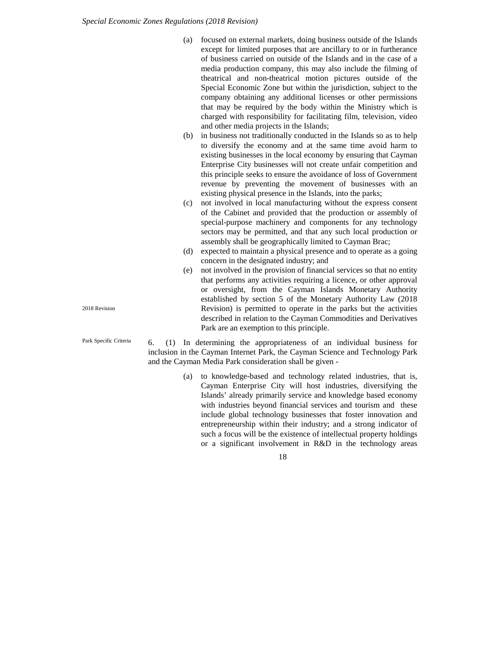- (a) focused on external markets, doing business outside of the Islands except for limited purposes that are ancillary to or in furtherance of business carried on outside of the Islands and in the case of a media production company, this may also include the filming of theatrical and non-theatrical motion pictures outside of the Special Economic Zone but within the jurisdiction, subject to the company obtaining any additional licenses or other permissions that may be required by the body within the Ministry which is charged with responsibility for facilitating film, television, video and other media projects in the Islands;
- (b) in business not traditionally conducted in the Islands so as to help to diversify the economy and at the same time avoid harm to existing businesses in the local economy by ensuring that Cayman Enterprise City businesses will not create unfair competition and this principle seeks to ensure the avoidance of loss of Government revenue by preventing the movement of businesses with an existing physical presence in the Islands, into the parks;
- (c) not involved in local manufacturing without the express consent of the Cabinet and provided that the production or assembly of special-purpose machinery and components for any technology sectors may be permitted, and that any such local production or assembly shall be geographically limited to Cayman Brac;
- (d) expected to maintain a physical presence and to operate as a going concern in the designated industry; and
- (e) not involved in the provision of financial services so that no entity that performs any activities requiring a licence, or other approval or oversight, from the Cayman Islands Monetary Authority established by section 5 of the Monetary Authority Law (2018 Revision) is permitted to operate in the parks but the activities described in relation to the Cayman Commodities and Derivatives Park are an exemption to this principle.

6. (1) In determining the appropriateness of an individual business for inclusion in the Cayman Internet Park, the Cayman Science and Technology Park and the Cayman Media Park consideration shall be given -

> (a) to knowledge-based and technology related industries, that is, Cayman Enterprise City will host industries, diversifying the Islands' already primarily service and knowledge based economy with industries beyond financial services and tourism and these include global technology businesses that foster innovation and entrepreneurship within their industry; and a strong indicator of such a focus will be the existence of intellectual property holdings or a significant involvement in R&D in the technology areas

> > 18

2018 Revision

Park Specific Criteria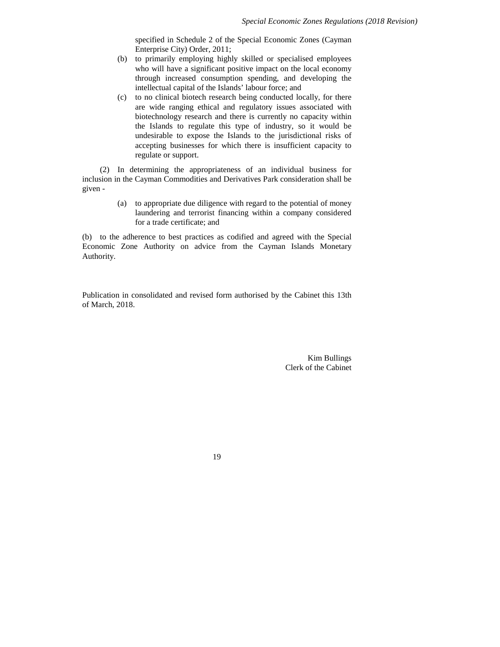specified in Schedule 2 of the Special Economic Zones (Cayman Enterprise City) Order, 2011;

- (b) to primarily employing highly skilled or specialised employees who will have a significant positive impact on the local economy through increased consumption spending, and developing the intellectual capital of the Islands' labour force; and
- (c) to no clinical biotech research being conducted locally, for there are wide ranging ethical and regulatory issues associated with biotechnology research and there is currently no capacity within the Islands to regulate this type of industry, so it would be undesirable to expose the Islands to the jurisdictional risks of accepting businesses for which there is insufficient capacity to regulate or support.

(2) In determining the appropriateness of an individual business for inclusion in the Cayman Commodities and Derivatives Park consideration shall be given -

> (a) to appropriate due diligence with regard to the potential of money laundering and terrorist financing within a company considered for a trade certificate; and

(b) to the adherence to best practices as codified and agreed with the Special Economic Zone Authority on advice from the Cayman Islands Monetary Authority.

Publication in consolidated and revised form authorised by the Cabinet this 13th of March, 2018.

> Kim Bullings Clerk of the Cabinet